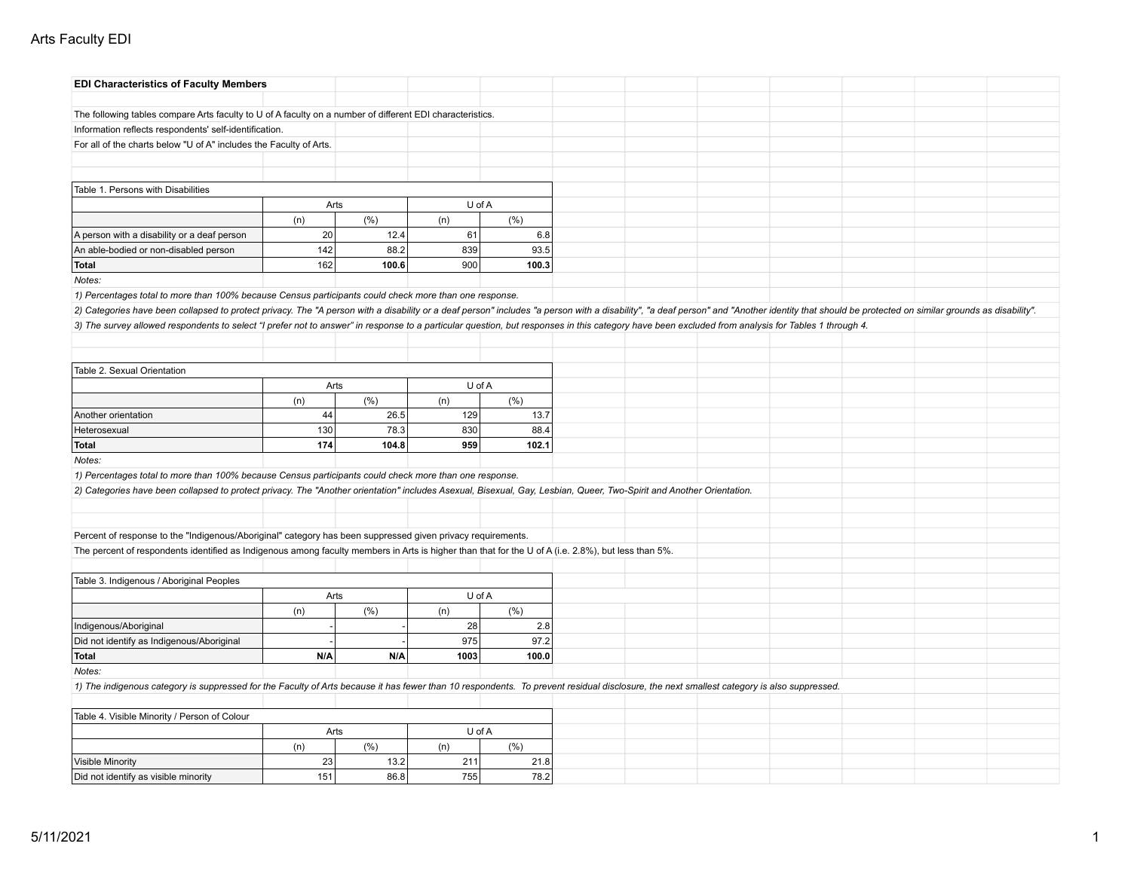## Arts Faculty EDI

| <b>EDI Characteristics of Faculty Members</b>                                                                                                                                                                                  |      |         |        |       |  |  |  |  |
|--------------------------------------------------------------------------------------------------------------------------------------------------------------------------------------------------------------------------------|------|---------|--------|-------|--|--|--|--|
|                                                                                                                                                                                                                                |      |         |        |       |  |  |  |  |
| The following tables compare Arts faculty to U of A faculty on a number of different EDI characteristics.                                                                                                                      |      |         |        |       |  |  |  |  |
| Information reflects respondents' self-identification.                                                                                                                                                                         |      |         |        |       |  |  |  |  |
| For all of the charts below "U of A" includes the Faculty of Arts.                                                                                                                                                             |      |         |        |       |  |  |  |  |
|                                                                                                                                                                                                                                |      |         |        |       |  |  |  |  |
|                                                                                                                                                                                                                                |      |         |        |       |  |  |  |  |
| Table 1. Persons with Disabilities                                                                                                                                                                                             |      |         |        |       |  |  |  |  |
|                                                                                                                                                                                                                                |      | Arts    | U of A |       |  |  |  |  |
|                                                                                                                                                                                                                                | (n)  | (% )    | (n)    | (%)   |  |  |  |  |
| A person with a disability or a deaf person                                                                                                                                                                                    | 20   | 12.4    | 61     | 6.8   |  |  |  |  |
| An able-bodied or non-disabled person                                                                                                                                                                                          | 142  | 88.2    | 839    | 93.5  |  |  |  |  |
| Total                                                                                                                                                                                                                          | 162  | 100.6   | 900    | 100.3 |  |  |  |  |
| Notes:                                                                                                                                                                                                                         |      |         |        |       |  |  |  |  |
| 1) Percentages total to more than 100% because Census participants could check more than one response.                                                                                                                         |      |         |        |       |  |  |  |  |
| 2) Categories have been collapsed to protect privacy. The "A person with a disability or a deaf person" includes "a person with a disability", "a deaf person" and "Another identity that should be protected on similar groun |      |         |        |       |  |  |  |  |
| 3) The survey allowed respondents to select "I prefer not to answer" in response to a particular question, but responses in this category have been excluded from analysis for Tables 1 through 4.                             |      |         |        |       |  |  |  |  |
|                                                                                                                                                                                                                                |      |         |        |       |  |  |  |  |
|                                                                                                                                                                                                                                |      |         |        |       |  |  |  |  |
| Table 2. Sexual Orientation                                                                                                                                                                                                    |      |         |        |       |  |  |  |  |
|                                                                                                                                                                                                                                | Arts |         | U of A |       |  |  |  |  |
|                                                                                                                                                                                                                                | (n)  | $(\% )$ | (n)    | (%)   |  |  |  |  |
| Another orientation                                                                                                                                                                                                            | 44   | 26.5    | 129    | 13.7  |  |  |  |  |
| Heterosexual                                                                                                                                                                                                                   | 130  | 78.3    | 830    | 88.4  |  |  |  |  |
| Total                                                                                                                                                                                                                          | 174  | 104.8   | 959    | 102.1 |  |  |  |  |
| Notes:                                                                                                                                                                                                                         |      |         |        |       |  |  |  |  |
| 1) Percentages total to more than 100% because Census participants could check more than one response.                                                                                                                         |      |         |        |       |  |  |  |  |
| 2) Categories have been collapsed to protect privacy. The "Another orientation" includes Asexual, Bisexual, Gay, Lesbian, Queer, Two-Spirit and Another Orientation.                                                           |      |         |        |       |  |  |  |  |
|                                                                                                                                                                                                                                |      |         |        |       |  |  |  |  |
|                                                                                                                                                                                                                                |      |         |        |       |  |  |  |  |
| Percent of response to the "Indigenous/Aboriginal" category has been suppressed given privacy requirements.                                                                                                                    |      |         |        |       |  |  |  |  |
| The percent of respondents identified as Indigenous among faculty members in Arts is higher than that for the U of A (i.e. 2.8%), but less than 5%.                                                                            |      |         |        |       |  |  |  |  |
|                                                                                                                                                                                                                                |      |         |        |       |  |  |  |  |
| Table 3. Indigenous / Aboriginal Peoples                                                                                                                                                                                       |      |         |        |       |  |  |  |  |
|                                                                                                                                                                                                                                | Arts |         | U of A |       |  |  |  |  |
|                                                                                                                                                                                                                                | (n)  | (% )    | (n)    | (%)   |  |  |  |  |
| Indigenous/Aboriginal                                                                                                                                                                                                          |      |         | 28     | 2.8   |  |  |  |  |
| Did not identify as Indigenous/Aboriginal                                                                                                                                                                                      |      |         | 975    | 97.2  |  |  |  |  |
| Total                                                                                                                                                                                                                          | N/A  | N/A     | 1003   | 100.0 |  |  |  |  |
| Notes:                                                                                                                                                                                                                         |      |         |        |       |  |  |  |  |
| 1) The indigenous category is suppressed for the Faculty of Arts because it has fewer than 10 respondents. To prevent residual disclosure, the next smallest category is also suppressed.                                      |      |         |        |       |  |  |  |  |
|                                                                                                                                                                                                                                |      |         |        |       |  |  |  |  |
| Table 4. Visible Minority / Person of Colour                                                                                                                                                                                   |      |         |        |       |  |  |  |  |
|                                                                                                                                                                                                                                | Arts |         | U of A |       |  |  |  |  |
|                                                                                                                                                                                                                                | (n)  | (% )    | (n)    | (%)   |  |  |  |  |
| Visible Minority                                                                                                                                                                                                               | 23   | 13.2    | 211    | 21.8  |  |  |  |  |
| Did not identify as visible minority                                                                                                                                                                                           | 151  | 86.8    | 755    | 78.2  |  |  |  |  |
|                                                                                                                                                                                                                                |      |         |        |       |  |  |  |  |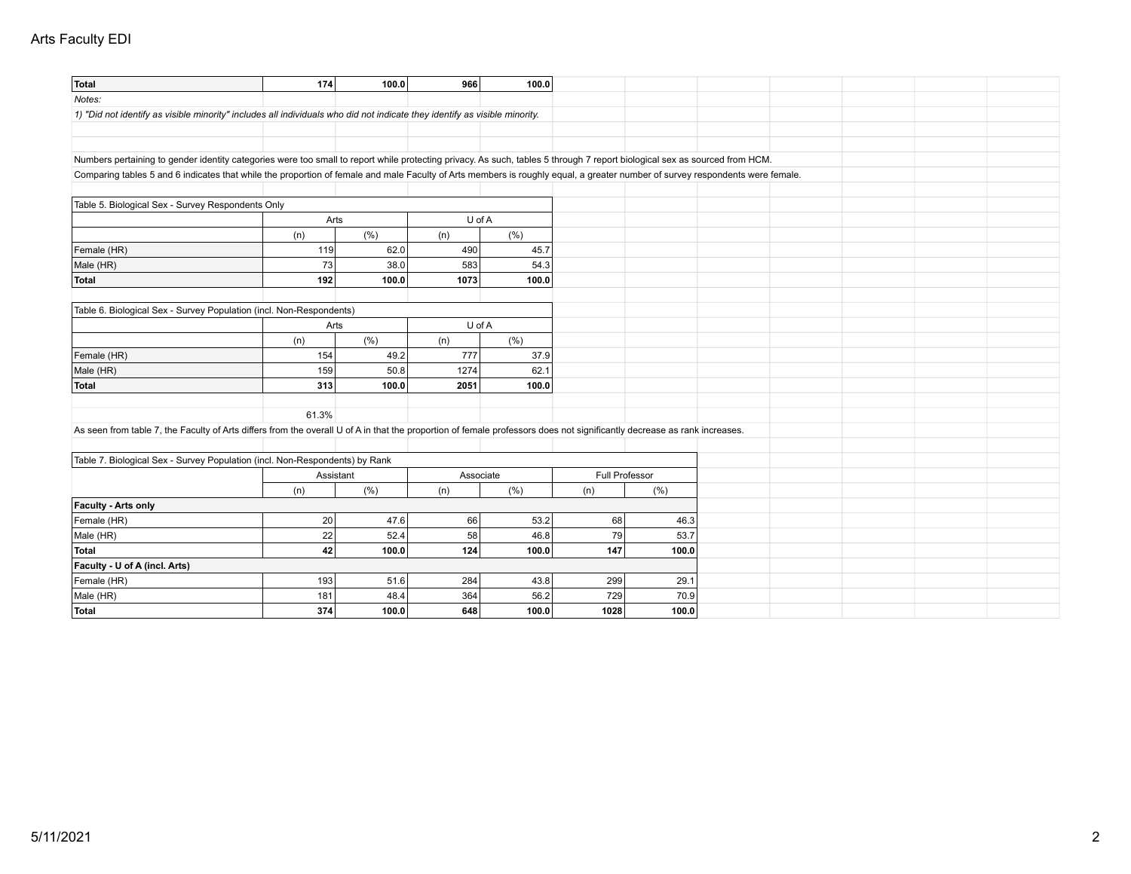## Arts Faculty EDI

| Total                                                                                                                                                                         | 174            | 100.0 | 966       | 100.0 |                |       |  |  |  |
|-------------------------------------------------------------------------------------------------------------------------------------------------------------------------------|----------------|-------|-----------|-------|----------------|-------|--|--|--|
| Notes:                                                                                                                                                                        |                |       |           |       |                |       |  |  |  |
| 1) "Did not identify as visible minority" includes all individuals who did not indicate they identify as visible minority.                                                    |                |       |           |       |                |       |  |  |  |
|                                                                                                                                                                               |                |       |           |       |                |       |  |  |  |
|                                                                                                                                                                               |                |       |           |       |                |       |  |  |  |
| Numbers pertaining to gender identity categories were too small to report while protecting privacy. As such, tables 5 through 7 report biological sex as sourced from HCM.    |                |       |           |       |                |       |  |  |  |
| Comparing tables 5 and 6 indicates that while the proportion of female and male Faculty of Arts members is roughly equal, a greater number of survey respondents were female. |                |       |           |       |                |       |  |  |  |
|                                                                                                                                                                               |                |       |           |       |                |       |  |  |  |
| Table 5. Biological Sex - Survey Respondents Only                                                                                                                             |                |       |           |       |                |       |  |  |  |
|                                                                                                                                                                               |                | Arts  | U of A    |       |                |       |  |  |  |
|                                                                                                                                                                               | (n)            | (% )  | (n)       | (% )  |                |       |  |  |  |
| Female (HR)                                                                                                                                                                   | 119            | 62.0  | 490       | 45.7  |                |       |  |  |  |
| Male (HR)                                                                                                                                                                     | 73             | 38.0  | 583       | 54.3  |                |       |  |  |  |
| Total                                                                                                                                                                         | 192            | 100.0 | 1073      | 100.0 |                |       |  |  |  |
|                                                                                                                                                                               |                |       |           |       |                |       |  |  |  |
| Table 6. Biological Sex - Survey Population (incl. Non-Respondents)                                                                                                           |                |       |           |       |                |       |  |  |  |
|                                                                                                                                                                               | U of A<br>Arts |       |           |       |                |       |  |  |  |
|                                                                                                                                                                               | (n)            | (% )  | (n)       | (% )  |                |       |  |  |  |
| Female (HR)                                                                                                                                                                   | 154            | 49.2  | 777       | 37.9  |                |       |  |  |  |
| Male (HR)                                                                                                                                                                     | 159            | 50.8  | 1274      | 62.1  |                |       |  |  |  |
| Total                                                                                                                                                                         | 313            | 100.0 | 2051      | 100.0 |                |       |  |  |  |
|                                                                                                                                                                               |                |       |           |       |                |       |  |  |  |
|                                                                                                                                                                               | 61.3%          |       |           |       |                |       |  |  |  |
| As seen from table 7, the Faculty of Arts differs from the overall U of A in that the proportion of female professors does not significantly decrease as rank increases.      |                |       |           |       |                |       |  |  |  |
|                                                                                                                                                                               |                |       |           |       |                |       |  |  |  |
| Table 7. Biological Sex - Survey Population (incl. Non-Respondents) by Rank                                                                                                   |                |       |           |       |                |       |  |  |  |
|                                                                                                                                                                               | Assistant      |       | Associate |       | Full Professor |       |  |  |  |
|                                                                                                                                                                               | (n)            | (% )  | (n)       | (% )  | (n)            | (% )  |  |  |  |
| Faculty - Arts only                                                                                                                                                           |                |       |           |       |                |       |  |  |  |
| Female (HR)                                                                                                                                                                   | 20             | 47.6  | 66        | 53.2  | 68             | 46.3  |  |  |  |
| Male (HR)                                                                                                                                                                     | 22             | 52.4  | 58        | 46.8  | 79             | 53.7  |  |  |  |
| Total                                                                                                                                                                         | 42             | 100.0 | 124       | 100.0 | 147            | 100.0 |  |  |  |
| Faculty - U of A (incl. Arts)                                                                                                                                                 |                |       |           |       |                |       |  |  |  |
| Female (HR)                                                                                                                                                                   | 193            | 51.6  | 284       | 43.8  | 299            | 29.1  |  |  |  |
| Male (HR)                                                                                                                                                                     | 181            | 48.4  | 364       | 56.2  | 729            | 70.9  |  |  |  |
| Total                                                                                                                                                                         | 374            | 100.0 | 648       | 100.0 | 1028           | 100.0 |  |  |  |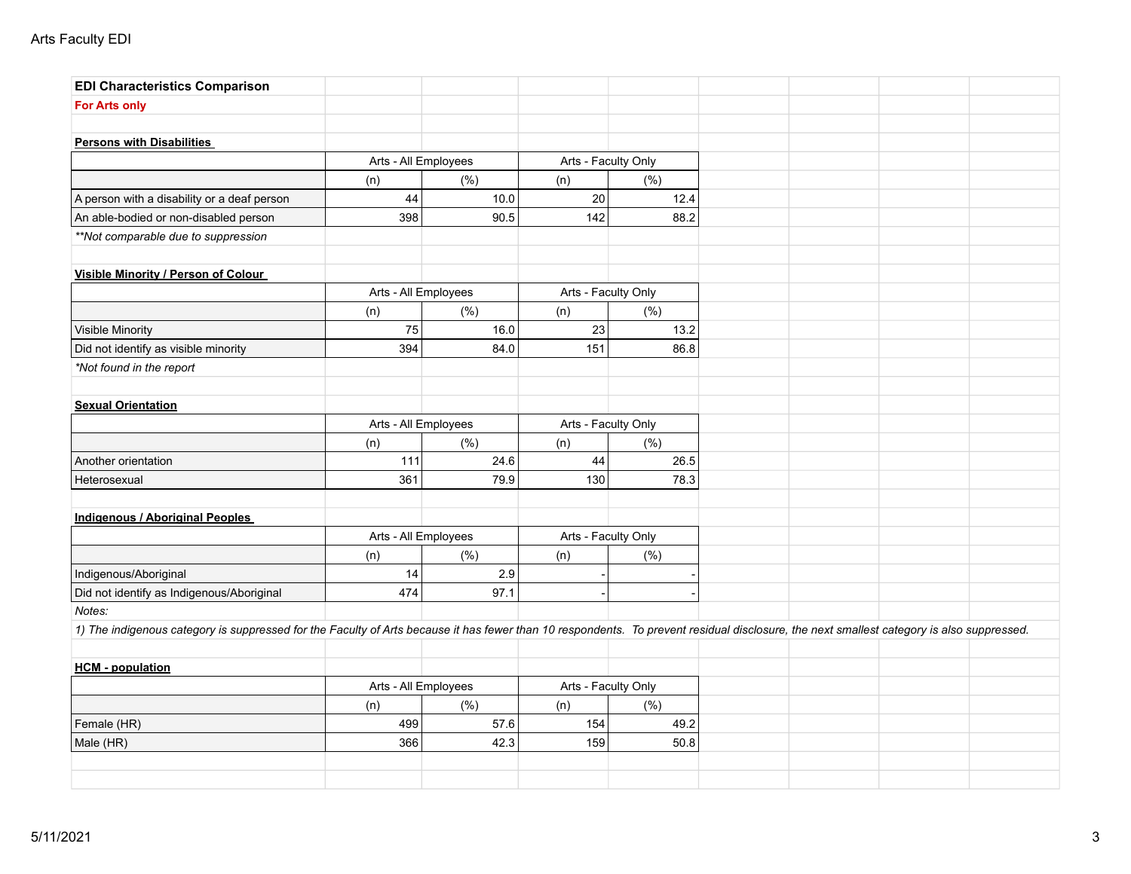| <b>EDI Characteristics Comparison</b>                                                                                                                                                     |                      |      |                     |      |  |  |
|-------------------------------------------------------------------------------------------------------------------------------------------------------------------------------------------|----------------------|------|---------------------|------|--|--|
| <b>For Arts only</b>                                                                                                                                                                      |                      |      |                     |      |  |  |
|                                                                                                                                                                                           |                      |      |                     |      |  |  |
| <b>Persons with Disabilities</b>                                                                                                                                                          |                      |      |                     |      |  |  |
|                                                                                                                                                                                           | Arts - All Employees |      | Arts - Faculty Only |      |  |  |
|                                                                                                                                                                                           | (n)                  | (%)  | (n)                 | (% ) |  |  |
| A person with a disability or a deaf person                                                                                                                                               | 44                   | 10.0 | 20                  | 12.4 |  |  |
| An able-bodied or non-disabled person                                                                                                                                                     | 398                  | 90.5 | 142                 | 88.2 |  |  |
| **Not comparable due to suppression                                                                                                                                                       |                      |      |                     |      |  |  |
| Visible Minority / Person of Colour                                                                                                                                                       |                      |      |                     |      |  |  |
|                                                                                                                                                                                           | Arts - All Employees |      | Arts - Faculty Only |      |  |  |
|                                                                                                                                                                                           | (n)                  | (%)  | (n)                 | (% ) |  |  |
| <b>Visible Minority</b>                                                                                                                                                                   | 75                   | 16.0 | 23                  | 13.2 |  |  |
| Did not identify as visible minority                                                                                                                                                      | 394                  | 84.0 | 151                 | 86.8 |  |  |
| *Not found in the report                                                                                                                                                                  |                      |      |                     |      |  |  |
| <b>Sexual Orientation</b>                                                                                                                                                                 |                      |      |                     |      |  |  |
|                                                                                                                                                                                           | Arts - All Employees |      | Arts - Faculty Only |      |  |  |
|                                                                                                                                                                                           | (n)                  | (%)  | (n)                 | (% ) |  |  |
| Another orientation                                                                                                                                                                       | 111                  | 24.6 | 44                  | 26.5 |  |  |
| Heterosexual                                                                                                                                                                              | 361                  | 79.9 | 130                 | 78.3 |  |  |
| Indigenous / Aboriginal Peoples                                                                                                                                                           |                      |      |                     |      |  |  |
|                                                                                                                                                                                           | Arts - All Employees |      | Arts - Faculty Only |      |  |  |
|                                                                                                                                                                                           | (n)                  | (% ) | (n)                 | (% ) |  |  |
| Indigenous/Aboriginal                                                                                                                                                                     | 14                   | 2.9  |                     |      |  |  |
| Did not identify as Indigenous/Aboriginal                                                                                                                                                 | 474                  | 97.1 |                     |      |  |  |
| Notes:                                                                                                                                                                                    |                      |      |                     |      |  |  |
| 1) The indigenous category is suppressed for the Faculty of Arts because it has fewer than 10 respondents. To prevent residual disclosure, the next smallest category is also suppressed. |                      |      |                     |      |  |  |
| <b>HCM - population</b>                                                                                                                                                                   |                      |      |                     |      |  |  |
|                                                                                                                                                                                           | Arts - All Employees |      | Arts - Faculty Only |      |  |  |
|                                                                                                                                                                                           | (n)                  | (% ) | (n)                 | (% ) |  |  |
| Female (HR)                                                                                                                                                                               | 499                  | 57.6 | 154                 | 49.2 |  |  |
| Male (HR)                                                                                                                                                                                 | 366                  | 42.3 | 159                 | 50.8 |  |  |
|                                                                                                                                                                                           |                      |      |                     |      |  |  |
|                                                                                                                                                                                           |                      |      |                     |      |  |  |